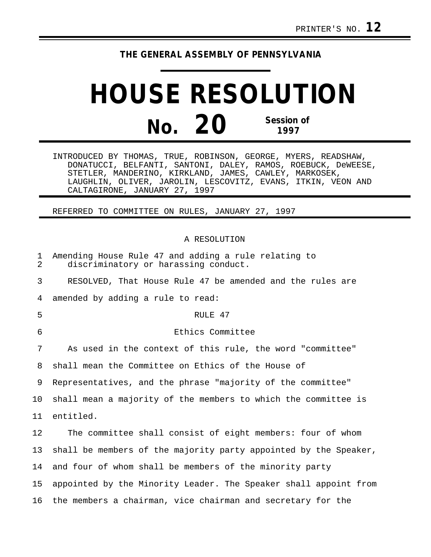# **THE GENERAL ASSEMBLY OF PENNSYLVANIA**

# **HOUSE RESOLUTION No. 20 Session of 1997**

INTRODUCED BY THOMAS, TRUE, ROBINSON, GEORGE, MYERS, READSHAW, DONATUCCI, BELFANTI, SANTONI, DALEY, RAMOS, ROEBUCK, DeWEESE, STETLER, MANDERINO, KIRKLAND, JAMES, CAWLEY, MARKOSEK, LAUGHLIN, OLIVER, JAROLIN, LESCOVITZ, EVANS, ITKIN, VEON AND CALTAGIRONE, JANUARY 27, 1997

## REFERRED TO COMMITTEE ON RULES, JANUARY 27, 1997

### A RESOLUTION

| 1<br>$\overline{2}$ | Amending House Rule 47 and adding a rule relating to<br>discriminatory or harassing conduct. |
|---------------------|----------------------------------------------------------------------------------------------|
| 3                   | RESOLVED, That House Rule 47 be amended and the rules are                                    |
| 4                   | amended by adding a rule to read:                                                            |
| 5                   | RULE 47                                                                                      |
| 6                   | Ethics Committee                                                                             |
| 7                   | As used in the context of this rule, the word "committee"                                    |
| 8                   | shall mean the Committee on Ethics of the House of                                           |
| 9                   | Representatives, and the phrase "majority of the committee"                                  |
| 10                  | shall mean a majority of the members to which the committee is                               |
| 11                  | entitled.                                                                                    |
| 12                  | The committee shall consist of eight members: four of whom                                   |
| 13                  | shall be members of the majority party appointed by the Speaker,                             |
| 14                  | and four of whom shall be members of the minority party                                      |
| 15                  | appointed by the Minority Leader. The Speaker shall appoint from                             |
| 16                  | the members a chairman, vice chairman and secretary for the                                  |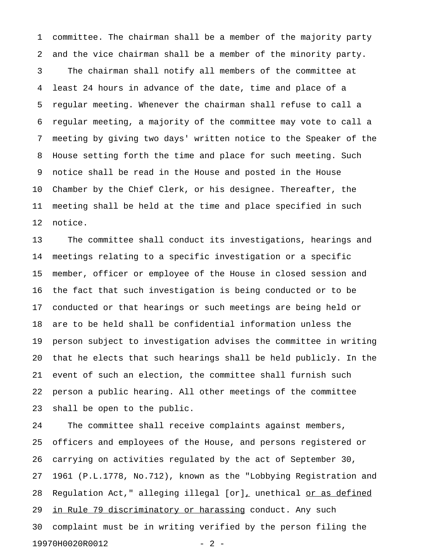1 committee. The chairman shall be a member of the majority party 2 and the vice chairman shall be a member of the minority party. 3 The chairman shall notify all members of the committee at 4 least 24 hours in advance of the date, time and place of a 5 regular meeting. Whenever the chairman shall refuse to call a 6 regular meeting, a majority of the committee may vote to call a 7 meeting by giving two days' written notice to the Speaker of the 8 House setting forth the time and place for such meeting. Such 9 notice shall be read in the House and posted in the House 10 Chamber by the Chief Clerk, or his designee. Thereafter, the 11 meeting shall be held at the time and place specified in such 12 notice.

13 The committee shall conduct its investigations, hearings and 14 meetings relating to a specific investigation or a specific 15 member, officer or employee of the House in closed session and 16 the fact that such investigation is being conducted or to be 17 conducted or that hearings or such meetings are being held or 18 are to be held shall be confidential information unless the 19 person subject to investigation advises the committee in writing 20 that he elects that such hearings shall be held publicly. In the 21 event of such an election, the committee shall furnish such 22 person a public hearing. All other meetings of the committee 23 shall be open to the public.

24 The committee shall receive complaints against members, 25 officers and employees of the House, and persons registered or 26 carrying on activities regulated by the act of September 30, 27 1961 (P.L.1778, No.712), known as the "Lobbying Registration and 28 Regulation Act," alleging illegal  ${\lceil \text{or} \rceil}_L$  unethical <u>or as defined</u> 29 in Rule 79 discriminatory or harassing conduct. Any such 30 complaint must be in writing verified by the person filing the 19970H0020R0012 - 2 -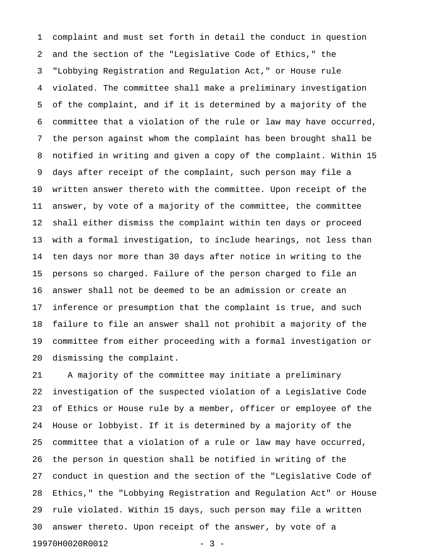1 complaint and must set forth in detail the conduct in question 2 and the section of the "Legislative Code of Ethics," the 3 "Lobbying Registration and Regulation Act," or House rule 4 violated. The committee shall make a preliminary investigation 5 of the complaint, and if it is determined by a majority of the 6 committee that a violation of the rule or law may have occurred, 7 the person against whom the complaint has been brought shall be 8 notified in writing and given a copy of the complaint. Within 15 9 days after receipt of the complaint, such person may file a 10 written answer thereto with the committee. Upon receipt of the 11 answer, by vote of a majority of the committee, the committee 12 shall either dismiss the complaint within ten days or proceed 13 with a formal investigation, to include hearings, not less than 14 ten days nor more than 30 days after notice in writing to the 15 persons so charged. Failure of the person charged to file an 16 answer shall not be deemed to be an admission or create an 17 inference or presumption that the complaint is true, and such 18 failure to file an answer shall not prohibit a majority of the 19 committee from either proceeding with a formal investigation or 20 dismissing the complaint.

21 A majority of the committee may initiate a preliminary 22 investigation of the suspected violation of a Legislative Code 23 of Ethics or House rule by a member, officer or employee of the 24 House or lobbyist. If it is determined by a majority of the 25 committee that a violation of a rule or law may have occurred, 26 the person in question shall be notified in writing of the 27 conduct in question and the section of the "Legislative Code of 28 Ethics," the "Lobbying Registration and Regulation Act" or House 29 rule violated. Within 15 days, such person may file a written 30 answer thereto. Upon receipt of the answer, by vote of a 19970H0020R0012 - 3 -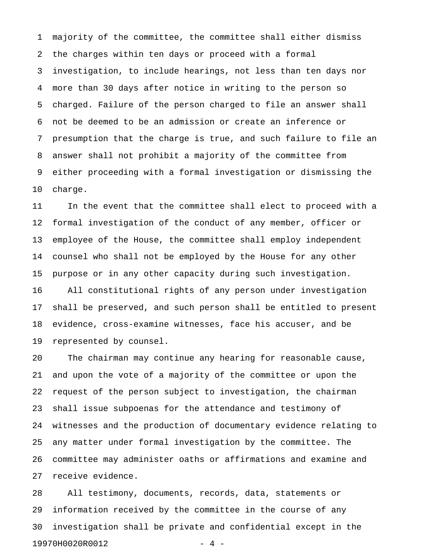1 majority of the committee, the committee shall either dismiss 2 the charges within ten days or proceed with a formal 3 investigation, to include hearings, not less than ten days nor 4 more than 30 days after notice in writing to the person so 5 charged. Failure of the person charged to file an answer shall 6 not be deemed to be an admission or create an inference or 7 presumption that the charge is true, and such failure to file an 8 answer shall not prohibit a majority of the committee from 9 either proceeding with a formal investigation or dismissing the 10 charge.

11 In the event that the committee shall elect to proceed with a 12 formal investigation of the conduct of any member, officer or 13 employee of the House, the committee shall employ independent 14 counsel who shall not be employed by the House for any other 15 purpose or in any other capacity during such investigation. 16 All constitutional rights of any person under investigation 17 shall be preserved, and such person shall be entitled to present 18 evidence, cross-examine witnesses, face his accuser, and be 19 represented by counsel.

20 The chairman may continue any hearing for reasonable cause, 21 and upon the vote of a majority of the committee or upon the 22 request of the person subject to investigation, the chairman 23 shall issue subpoenas for the attendance and testimony of 24 witnesses and the production of documentary evidence relating to 25 any matter under formal investigation by the committee. The 26 committee may administer oaths or affirmations and examine and 27 receive evidence.

28 All testimony, documents, records, data, statements or 29 information received by the committee in the course of any 30 investigation shall be private and confidential except in the 19970H0020R0012 - 4 -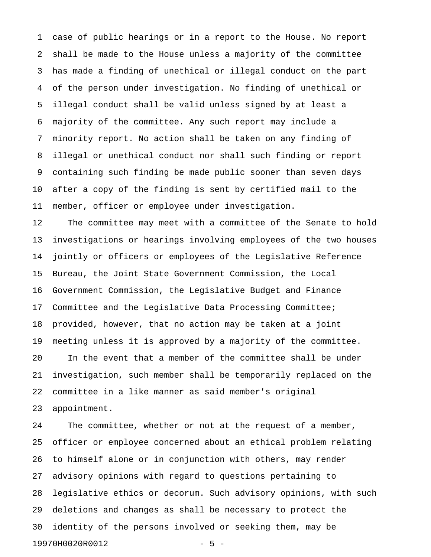1 case of public hearings or in a report to the House. No report 2 shall be made to the House unless a majority of the committee 3 has made a finding of unethical or illegal conduct on the part 4 of the person under investigation. No finding of unethical or 5 illegal conduct shall be valid unless signed by at least a 6 majority of the committee. Any such report may include a 7 minority report. No action shall be taken on any finding of 8 illegal or unethical conduct nor shall such finding or report 9 containing such finding be made public sooner than seven days 10 after a copy of the finding is sent by certified mail to the 11 member, officer or employee under investigation.

12 The committee may meet with a committee of the Senate to hold 13 investigations or hearings involving employees of the two houses 14 jointly or officers or employees of the Legislative Reference 15 Bureau, the Joint State Government Commission, the Local 16 Government Commission, the Legislative Budget and Finance 17 Committee and the Legislative Data Processing Committee; 18 provided, however, that no action may be taken at a joint 19 meeting unless it is approved by a majority of the committee. 20 In the event that a member of the committee shall be under 21 investigation, such member shall be temporarily replaced on the 22 committee in a like manner as said member's original 23 appointment.

24 The committee, whether or not at the request of a member, 25 officer or employee concerned about an ethical problem relating 26 to himself alone or in conjunction with others, may render 27 advisory opinions with regard to questions pertaining to 28 legislative ethics or decorum. Such advisory opinions, with such 29 deletions and changes as shall be necessary to protect the 30 identity of the persons involved or seeking them, may be 19970H0020R0012 - 5 -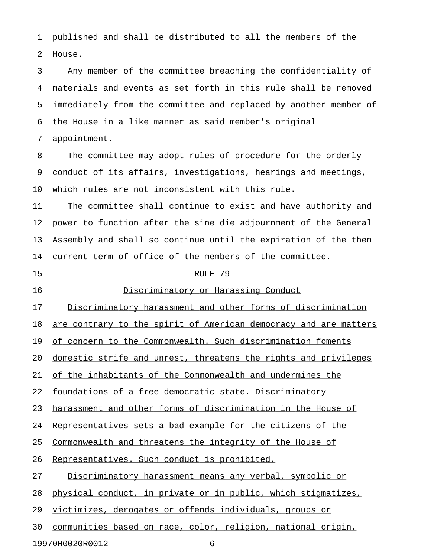1 published and shall be distributed to all the members of the 2 House.

3 Any member of the committee breaching the confidentiality of 4 materials and events as set forth in this rule shall be removed 5 immediately from the committee and replaced by another member of 6 the House in a like manner as said member's original

7 appointment.

8 The committee may adopt rules of procedure for the orderly 9 conduct of its affairs, investigations, hearings and meetings, 10 which rules are not inconsistent with this rule.

11 The committee shall continue to exist and have authority and 12 power to function after the sine die adjournment of the General 13 Assembly and shall so continue until the expiration of the then 14 current term of office of the members of the committee.

#### 15 RULE 79

#### 16 Discriminatory or Harassing Conduct \_\_\_\_\_\_\_\_\_\_\_\_\_\_\_\_\_\_\_\_\_\_\_\_\_\_\_\_\_\_\_\_\_\_\_

17 Discriminatory harassment and other forms of discrimination

18 are contrary to the spirit of American democracy and are matters

19 of concern to the Commonwealth. Such discrimination foments

20 domestic strife and unrest, threatens the rights and privileges

21 of the inhabitants of the Commonwealth and undermines the

22 foundations of a free democratic state. Discriminatory

23 harassment and other forms of discrimination in the House of

24 Representatives sets a bad example for the citizens of the

25 Commonwealth and threatens the integrity of the House of

26 Representatives. Such conduct is prohibited.

27 Discriminatory harassment means any verbal, symbolic or

28 physical conduct, in private or in public, which stigmatizes,

29 victimizes, derogates or offends individuals, groups or

30 communities based on race, color, religion, national origin,

19970H0020R0012 - 6 -